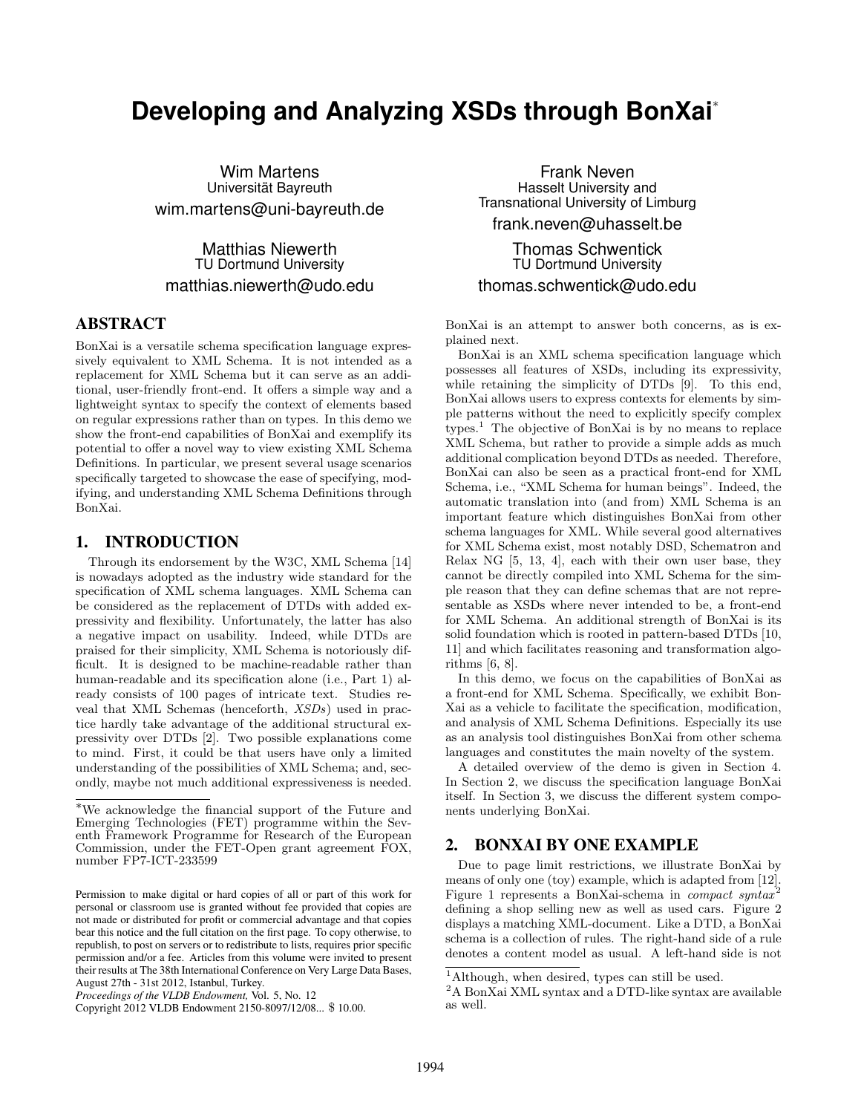# **Developing and Analyzing XSDs through BonXai**<sup>∗</sup>

Wim Martens Universitat Bayreuth ¨ wim.martens@uni-bayreuth.de

Matthias Niewerth TU Dortmund University matthias.niewerth@udo.edu

## ABSTRACT

BonXai is a versatile schema specification language expressively equivalent to XML Schema. It is not intended as a replacement for XML Schema but it can serve as an additional, user-friendly front-end. It offers a simple way and a lightweight syntax to specify the context of elements based on regular expressions rather than on types. In this demo we show the front-end capabilities of BonXai and exemplify its potential to offer a novel way to view existing XML Schema Definitions. In particular, we present several usage scenarios specifically targeted to showcase the ease of specifying, modifying, and understanding XML Schema Definitions through BonXai.

## 1. INTRODUCTION

Through its endorsement by the W3C, XML Schema [14] is nowadays adopted as the industry wide standard for the specification of XML schema languages. XML Schema can be considered as the replacement of DTDs with added expressivity and flexibility. Unfortunately, the latter has also a negative impact on usability. Indeed, while DTDs are praised for their simplicity, XML Schema is notoriously difficult. It is designed to be machine-readable rather than human-readable and its specification alone (i.e., Part 1) already consists of 100 pages of intricate text. Studies reveal that XML Schemas (henceforth, XSDs) used in practice hardly take advantage of the additional structural expressivity over DTDs [2]. Two possible explanations come to mind. First, it could be that users have only a limited understanding of the possibilities of XML Schema; and, secondly, maybe not much additional expressiveness is needed.

Frank Neven Hasselt University and Transnational University of Limburg frank.neven@uhasselt.be

> Thomas Schwentick TU Dortmund University

## thomas.schwentick@udo.edu

BonXai is an attempt to answer both concerns, as is explained next.

BonXai is an XML schema specification language which possesses all features of XSDs, including its expressivity, while retaining the simplicity of DTDs [9]. To this end, BonXai allows users to express contexts for elements by simple patterns without the need to explicitly specify complex types.<sup>1</sup> The objective of BonXai is by no means to replace XML Schema, but rather to provide a simple adds as much additional complication beyond DTDs as needed. Therefore, BonXai can also be seen as a practical front-end for XML Schema, i.e., "XML Schema for human beings". Indeed, the automatic translation into (and from) XML Schema is an important feature which distinguishes BonXai from other schema languages for XML. While several good alternatives for XML Schema exist, most notably DSD, Schematron and Relax NG [5, 13, 4], each with their own user base, they cannot be directly compiled into XML Schema for the simple reason that they can define schemas that are not representable as XSDs where never intended to be, a front-end for XML Schema. An additional strength of BonXai is its solid foundation which is rooted in pattern-based DTDs [10, 11] and which facilitates reasoning and transformation algorithms [6, 8].

In this demo, we focus on the capabilities of BonXai as a front-end for XML Schema. Specifically, we exhibit Bon-Xai as a vehicle to facilitate the specification, modification, and analysis of XML Schema Definitions. Especially its use as an analysis tool distinguishes BonXai from other schema languages and constitutes the main novelty of the system.

A detailed overview of the demo is given in Section 4. In Section 2, we discuss the specification language BonXai itself. In Section 3, we discuss the different system components underlying BonXai.

## 2. BONXAI BY ONE EXAMPLE

Due to page limit restrictions, we illustrate BonXai by means of only one (toy) example, which is adapted from [12]. Figure 1 represents a BonXai-schema in *compact syntax*<sup>2</sup> defining a shop selling new as well as used cars. Figure 2 displays a matching XML-document. Like a DTD, a BonXai schema is a collection of rules. The right-hand side of a rule denotes a content model as usual. A left-hand side is not

<sup>∗</sup>We acknowledge the financial support of the Future and Emerging Technologies (FET) programme within the Seventh Framework Programme for Research of the European Commission, under the FET-Open grant agreement FOX, number FP7-ICT-233599

Permission to make digital or hard copies of all or part of this work for personal or classroom use is granted without fee provided that copies are not made or distributed for profit or commercial advantage and that copies bear this notice and the full citation on the first page. To copy otherwise, to republish, to post on servers or to redistribute to lists, requires prior specific permission and/or a fee. Articles from this volume were invited to present their results at The 38th International Conference on Very Large Data Bases, August 27th - 31st 2012, Istanbul, Turkey.

*Proceedings of the VLDB Endowment,* Vol. 5, No. 12

Copyright 2012 VLDB Endowment 2150-8097/12/08... \$ 10.00.

<sup>&</sup>lt;sup>1</sup>Although, when desired, types can still be used.

<sup>2</sup>A BonXai XML syntax and a DTD-like syntax are available as well.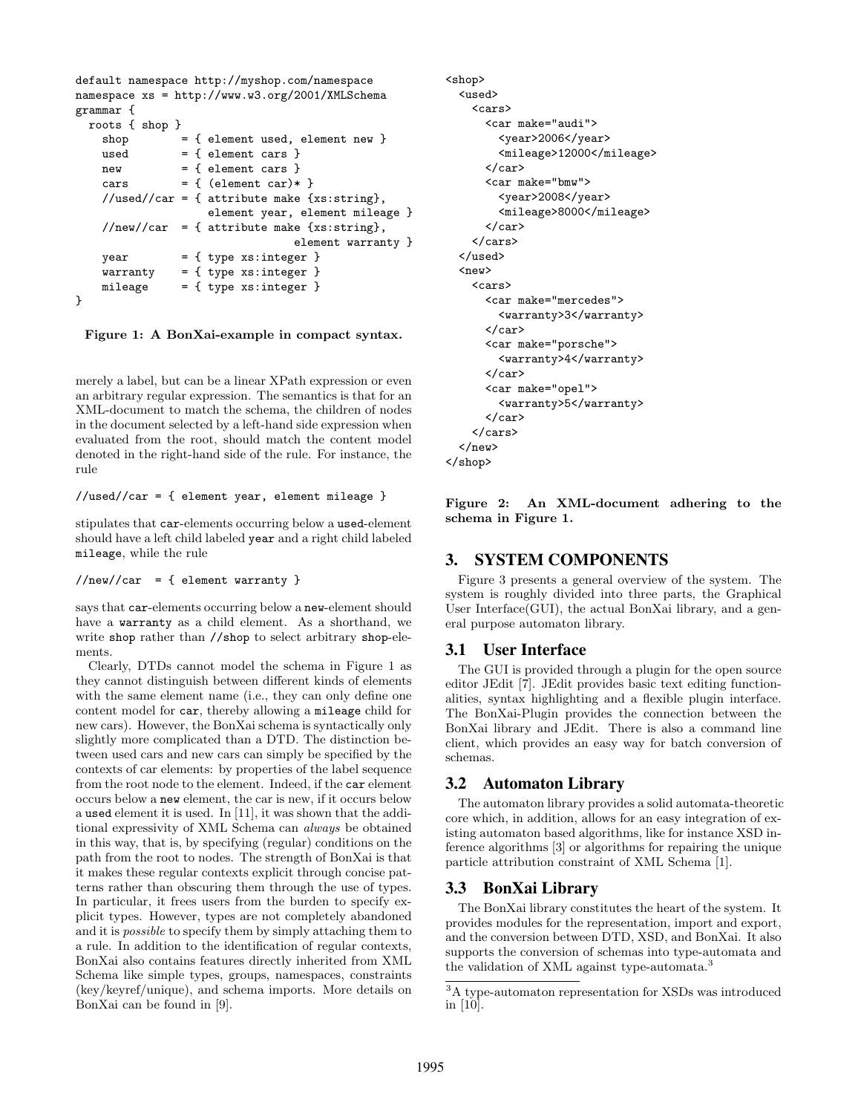```
default namespace http://myshop.com/namespace
namespace xs = http://www.w3.org/2001/XMLSchema
grammar {
 roots { shop }
   shop = { element used, element new }
   used = \{ element cars \}new = { element cars }cars = { (element car)* }//used//car = { attribute make {xs:string},
                  element year, element mileage }
   //new//car = { attribute make {xs:string}},element warranty }
   year = { type xs:integer}warranty = { type xs:integer }
   mileage = { type xs:integer }}
```
Figure 1: A BonXai-example in compact syntax.

merely a label, but can be a linear XPath expression or even an arbitrary regular expression. The semantics is that for an XML-document to match the schema, the children of nodes in the document selected by a left-hand side expression when evaluated from the root, should match the content model denoted in the right-hand side of the rule. For instance, the rule

```
//used//car = { element year, element mileage }
```
stipulates that car-elements occurring below a used-element should have a left child labeled year and a right child labeled mileage, while the rule

## //new//car = { element warranty }

says that car-elements occurring below a new-element should have a warranty as a child element. As a shorthand, we write shop rather than //shop to select arbitrary shop-elements.

Clearly, DTDs cannot model the schema in Figure 1 as they cannot distinguish between different kinds of elements with the same element name (i.e., they can only define one content model for car, thereby allowing a mileage child for new cars). However, the BonXai schema is syntactically only slightly more complicated than a DTD. The distinction between used cars and new cars can simply be specified by the contexts of car elements: by properties of the label sequence from the root node to the element. Indeed, if the car element occurs below a new element, the car is new, if it occurs below a used element it is used. In [11], it was shown that the additional expressivity of XML Schema can always be obtained in this way, that is, by specifying (regular) conditions on the path from the root to nodes. The strength of BonXai is that it makes these regular contexts explicit through concise patterns rather than obscuring them through the use of types. In particular, it frees users from the burden to specify explicit types. However, types are not completely abandoned and it is possible to specify them by simply attaching them to a rule. In addition to the identification of regular contexts, BonXai also contains features directly inherited from XML Schema like simple types, groups, namespaces, constraints (key/keyref/unique), and schema imports. More details on BonXai can be found in [9].

```
<shop>
  \langleused\rangle<cars>
      <car make="audi">
         <year>2006</year>
         <mileage>12000</mileage>
      </car>
      <car make="bmw">
         <year>2008</year>
         <mileage>8000</mileage>
      </car>
    </cars>
  </used>
  <new>
    <cars>
      <car make="mercedes">
         <warranty>3</warranty>
      </car>
      <car make="porsche">
         <warranty>4</warranty>
      </car>
      <car make="opel">
         <warranty>5</warranty>
      </car>
    </cars>
  \langle/new\rangle</shop>
```
Figure 2: An XML-document adhering to the schema in Figure 1.

## 3. SYSTEM COMPONENTS

Figure 3 presents a general overview of the system. The system is roughly divided into three parts, the Graphical User Interface(GUI), the actual BonXai library, and a general purpose automaton library.

## 3.1 User Interface

The GUI is provided through a plugin for the open source editor JEdit [7]. JEdit provides basic text editing functionalities, syntax highlighting and a flexible plugin interface. The BonXai-Plugin provides the connection between the BonXai library and JEdit. There is also a command line client, which provides an easy way for batch conversion of schemas.

## 3.2 Automaton Library

The automaton library provides a solid automata-theoretic core which, in addition, allows for an easy integration of existing automaton based algorithms, like for instance XSD inference algorithms [3] or algorithms for repairing the unique particle attribution constraint of XML Schema [1].

## 3.3 BonXai Library

The BonXai library constitutes the heart of the system. It provides modules for the representation, import and export, and the conversion between DTD, XSD, and BonXai. It also supports the conversion of schemas into type-automata and the validation of XML against type-automata.<sup>3</sup>

<sup>3</sup>A type-automaton representation for XSDs was introduced in [10].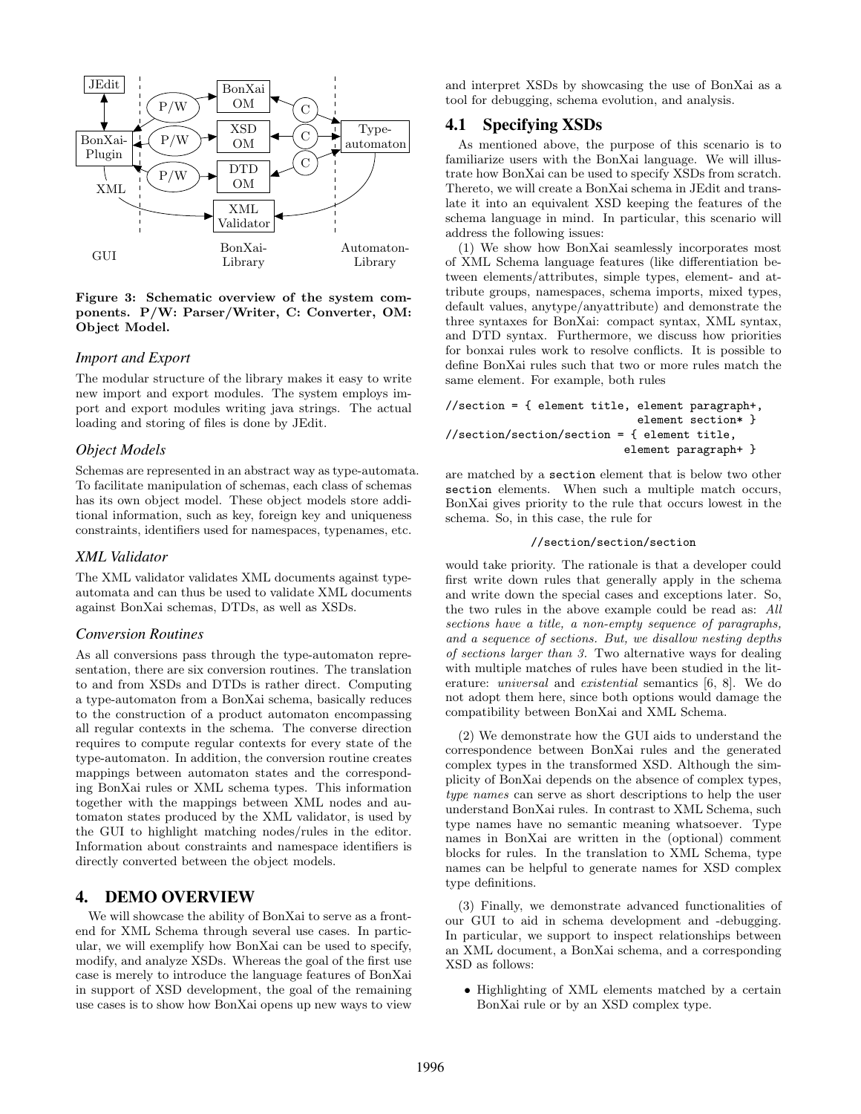

Figure 3: Schematic overview of the system components. P/W: Parser/Writer, C: Converter, OM: Object Model.

#### *Import and Export*

The modular structure of the library makes it easy to write new import and export modules. The system employs import and export modules writing java strings. The actual loading and storing of files is done by JEdit.

#### *Object Models*

Schemas are represented in an abstract way as type-automata. To facilitate manipulation of schemas, each class of schemas has its own object model. These object models store additional information, such as key, foreign key and uniqueness constraints, identifiers used for namespaces, typenames, etc.

#### *XML Validator*

The XML validator validates XML documents against typeautomata and can thus be used to validate XML documents against BonXai schemas, DTDs, as well as XSDs.

#### *Conversion Routines*

As all conversions pass through the type-automaton representation, there are six conversion routines. The translation to and from XSDs and DTDs is rather direct. Computing a type-automaton from a BonXai schema, basically reduces to the construction of a product automaton encompassing all regular contexts in the schema. The converse direction requires to compute regular contexts for every state of the type-automaton. In addition, the conversion routine creates mappings between automaton states and the corresponding BonXai rules or XML schema types. This information together with the mappings between XML nodes and automaton states produced by the XML validator, is used by the GUI to highlight matching nodes/rules in the editor. Information about constraints and namespace identifiers is directly converted between the object models.

## 4. DEMO OVERVIEW

We will showcase the ability of BonXai to serve as a frontend for XML Schema through several use cases. In particular, we will exemplify how BonXai can be used to specify, modify, and analyze XSDs. Whereas the goal of the first use case is merely to introduce the language features of BonXai in support of XSD development, the goal of the remaining use cases is to show how BonXai opens up new ways to view

and interpret XSDs by showcasing the use of BonXai as a tool for debugging, schema evolution, and analysis.

#### 4.1 Specifying XSDs

As mentioned above, the purpose of this scenario is to familiarize users with the BonXai language. We will illustrate how BonXai can be used to specify XSDs from scratch. Thereto, we will create a BonXai schema in JEdit and translate it into an equivalent XSD keeping the features of the schema language in mind. In particular, this scenario will address the following issues:

(1) We show how BonXai seamlessly incorporates most of XML Schema language features (like differentiation between elements/attributes, simple types, element- and attribute groups, namespaces, schema imports, mixed types, default values, anytype/anyattribute) and demonstrate the three syntaxes for BonXai: compact syntax, XML syntax, and DTD syntax. Furthermore, we discuss how priorities for bonxai rules work to resolve conflicts. It is possible to define BonXai rules such that two or more rules match the same element. For example, both rules

```
//section = { element title, element paragraph+,
                             element section* }
//section/section/section = { element title,
                           element paragraph+ }
```
are matched by a section element that is below two other section elements. When such a multiple match occurs, BonXai gives priority to the rule that occurs lowest in the schema. So, in this case, the rule for

#### //section/section/section

would take priority. The rationale is that a developer could first write down rules that generally apply in the schema and write down the special cases and exceptions later. So, the two rules in the above example could be read as: All sections have a title, a non-empty sequence of paragraphs, and a sequence of sections. But, we disallow nesting depths of sections larger than 3. Two alternative ways for dealing with multiple matches of rules have been studied in the literature: universal and existential semantics [6, 8]. We do not adopt them here, since both options would damage the compatibility between BonXai and XML Schema.

(2) We demonstrate how the GUI aids to understand the correspondence between BonXai rules and the generated complex types in the transformed XSD. Although the simplicity of BonXai depends on the absence of complex types, type names can serve as short descriptions to help the user understand BonXai rules. In contrast to XML Schema, such type names have no semantic meaning whatsoever. Type names in BonXai are written in the (optional) comment blocks for rules. In the translation to XML Schema, type names can be helpful to generate names for XSD complex type definitions.

(3) Finally, we demonstrate advanced functionalities of our GUI to aid in schema development and -debugging. In particular, we support to inspect relationships between an XML document, a BonXai schema, and a corresponding XSD as follows:

• Highlighting of XML elements matched by a certain BonXai rule or by an XSD complex type.